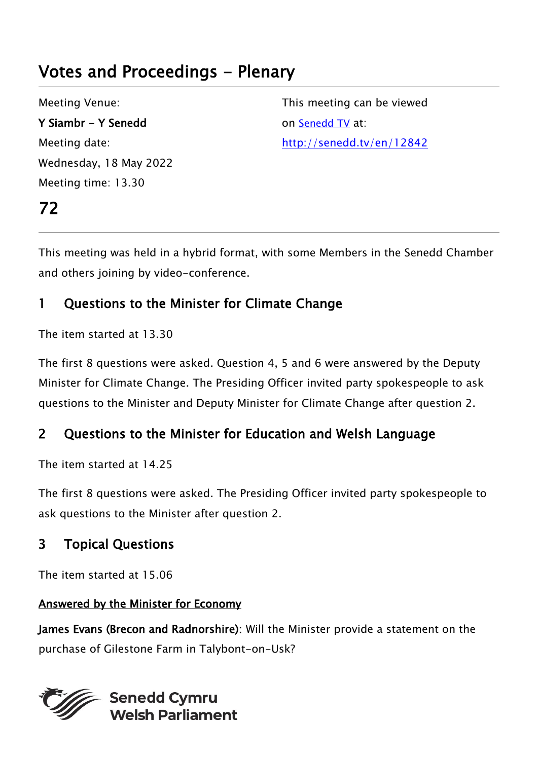# Votes and Proceedings - Plenary

Meeting Venue: Y Siambr - Y Senedd Meeting date: Wednesday, 18 May 2022 Meeting time: 13.30

72

This meeting can be viewed on [Senedd TV](http://senedd.tv/) at: http://senedd.tv/en/12842

This meeting was held in a hybrid format, with some Members in the Senedd Chamber and others joining by video-conference.

# 1 Questions to the Minister for Climate Change

The item started at 13.30

The first 8 questions were asked. Question 4, 5 and 6 were answered by the Deputy Minister for Climate Change. The Presiding Officer invited party spokespeople to ask questions to the Minister and Deputy Minister for Climate Change after question 2.

# 2 Questions to the Minister for Education and Welsh Language

The item started at 14.25

The first 8 questions were asked. The Presiding Officer invited party spokespeople to ask questions to the Minister after question 2.

# 3 Topical Questions

The item started at 15.06

## Answered by the Minister for Economy

James Evans (Brecon and Radnorshire): Will the Minister provide a statement on the purchase of Gilestone Farm in Talybont-on-Usk?

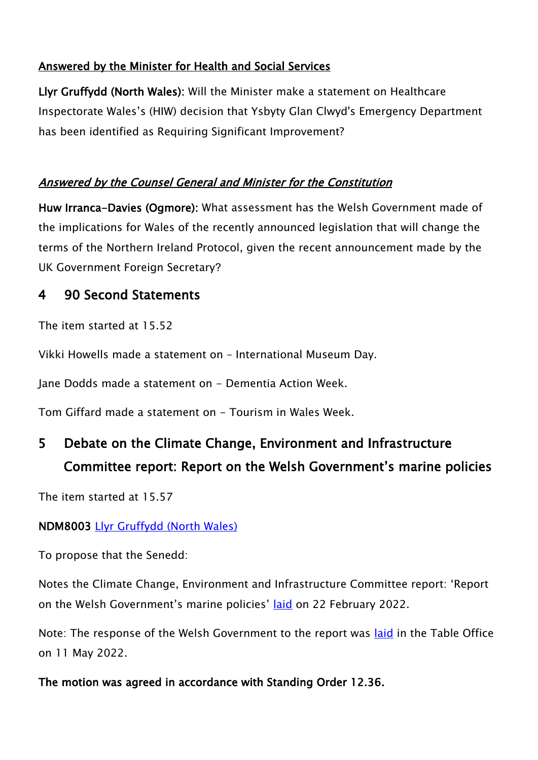## Answered by the Minister for Health and Social Services

Llyr Gruffydd (North Wales): Will the Minister make a statement on Healthcare Inspectorate Wales's (HIW) decision that Ysbyty Glan Clwyd's Emergency Department has been identified as Requiring Significant Improvement?

## Answered by the Counsel General and Minister for the Constitution

Huw Irranca-Davies (Ogmore): What assessment has the Welsh Government made of the implications for Wales of the recently announced legislation that will change the terms of the Northern Ireland Protocol, given the recent announcement made by the UK Government Foreign Secretary?

## 4 90 Second Statements

The item started at 15.52

Vikki Howells made a statement on – International Museum Day.

Jane Dodds made a statement on - Dementia Action Week.

Tom Giffard made a statement on - Tourism in Wales Week.

# 5 Debate on the Climate Change, Environment and Infrastructure Committee report: Report on the Welsh Government's marine policies

The item started at 15.57

## NDM8003 [Llyr Gruffydd \(North Wales\)](https://senedd.wales/people/425)

To propose that the Senedd:

Notes the Climate Change, Environment and Infrastructure Committee report: 'Report on the Welsh Government's marine policies' [laid](https://senedd.wales/media/2hqhyx4n/cr-ld14968-e.pdf) on 22 February 2022.

Note: The response of the Welsh Government to the report was [laid](https://senedd.wales/media/lxacelbx/gen-ld15111-e.pdf) in the Table Office on 11 May 2022.

## The motion was agreed in accordance with Standing Order 12.36.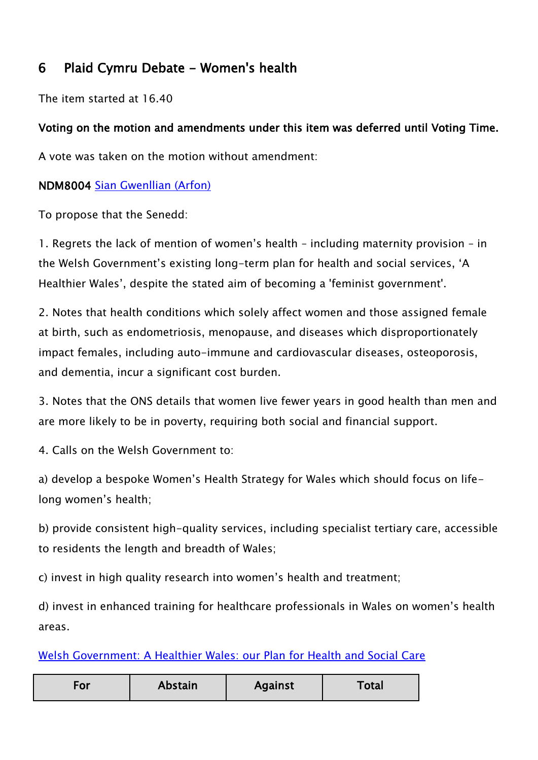# 6 Plaid Cymru Debate - Women's health

The item started at 16.40

## Voting on the motion and amendments under this item was deferred until Voting Time.

A vote was taken on the motion without amendment:

## NDM8004 [Sian Gwenllian \(Arfon\)](https://senedd.wales/people/4981)

To propose that the Senedd:

1. Regrets the lack of mention of women's health – including maternity provision – in the Welsh Government's existing long-term plan for health and social services, 'A Healthier Wales', despite the stated aim of becoming a 'feminist government'.

2. Notes that health conditions which solely affect women and those assigned female at birth, such as endometriosis, menopause, and diseases which disproportionately impact females, including auto-immune and cardiovascular diseases, osteoporosis, and dementia, incur a significant cost burden.

3. Notes that the ONS details that women live fewer years in good health than men and are more likely to be in poverty, requiring both social and financial support.

4. Calls on the Welsh Government to:

a) develop a bespoke Women's Health Strategy for Wales which should focus on lifelong women's health;

b) provide consistent high-quality services, including specialist tertiary care, accessible to residents the length and breadth of Wales;

c) invest in high quality research into women's health and treatment;

d) invest in enhanced training for healthcare professionals in Wales on women's health areas.

Welsh Government: A Healthier Wales: [our Plan for Health and Social Care](https://gov.wales/sites/default/files/publications/2021-09/a-healthier-wales-our-plan-for-health-and-social-care.pdf)

| Abstain<br>∙or | <b>Against</b> | Total |
|----------------|----------------|-------|
|----------------|----------------|-------|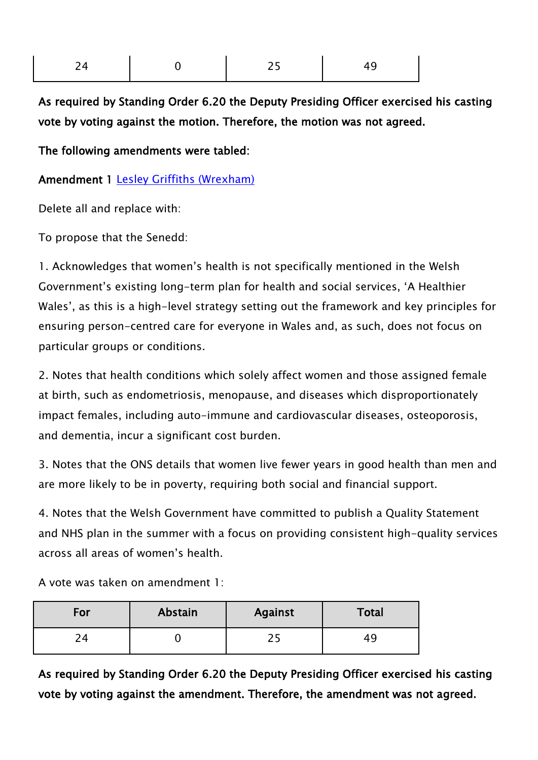| 24<br>$\overline{\phantom{0}}$ | $\sim$ $\sim$<br>- 15 -<br><u>. . </u> |  |
|--------------------------------|----------------------------------------|--|
|                                |                                        |  |

As required by Standing Order 6.20 the Deputy Presiding Officer exercised his casting vote by voting against the motion. Therefore, the motion was not agreed.

The following amendments were tabled:

Amendment 1 [Lesley Griffiths \(Wrexham\)](https://senedd.wales/people/154)

Delete all and replace with:

To propose that the Senedd:

1. Acknowledges that women's health is not specifically mentioned in the Welsh Government's existing long-term plan for health and social services, 'A Healthier Wales', as this is a high-level strategy setting out the framework and key principles for ensuring person-centred care for everyone in Wales and, as such, does not focus on particular groups or conditions.

2. Notes that health conditions which solely affect women and those assigned female at birth, such as endometriosis, menopause, and diseases which disproportionately impact females, including auto-immune and cardiovascular diseases, osteoporosis, and dementia, incur a significant cost burden.

3. Notes that the ONS details that women live fewer years in good health than men and are more likely to be in poverty, requiring both social and financial support.

4. Notes that the Welsh Government have committed to publish a Quality Statement and NHS plan in the summer with a focus on providing consistent high-quality services across all areas of women's health.

A vote was taken on amendment 1:

| For | Abstain | <b>Against</b> | Total |
|-----|---------|----------------|-------|
| ⌒   |         |                | 49    |

As required by Standing Order 6.20 the Deputy Presiding Officer exercised his casting vote by voting against the amendment. Therefore, the amendment was not agreed.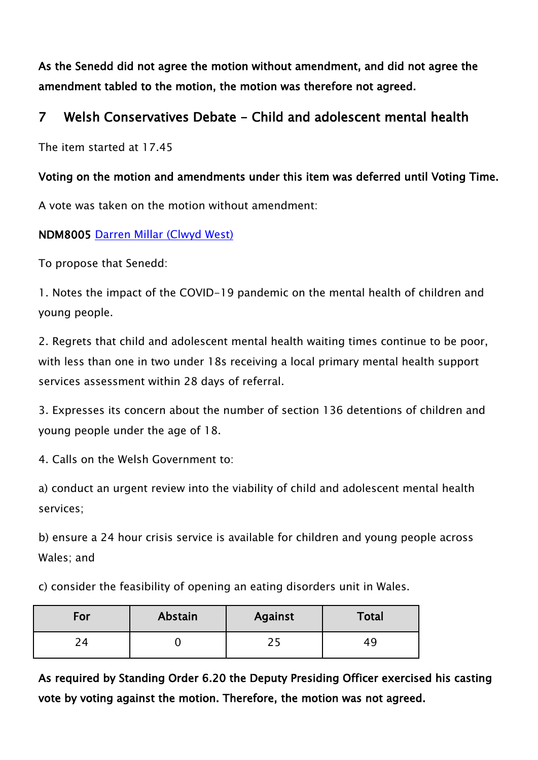As the Senedd did not agree the motion without amendment, and did not agree the amendment tabled to the motion, the motion was therefore not agreed.

## 7 Welsh Conservatives Debate - Child and adolescent mental health

The item started at 17.45

#### Voting on the motion and amendments under this item was deferred until Voting Time.

A vote was taken on the motion without amendment:

NDM8005 [Darren Millar \(Clwyd West\)](https://senedd.wales/people/171)

To propose that Senedd:

1. Notes the impact of the COVID-19 pandemic on the mental health of children and young people.

2. Regrets that child and adolescent mental health waiting times continue to be poor, with less than one in two under 18s receiving a local primary mental health support services assessment within 28 days of referral.

3. Expresses its concern about the number of section 136 detentions of children and young people under the age of 18.

4. Calls on the Welsh Government to:

a) conduct an urgent review into the viability of child and adolescent mental health services;

b) ensure a 24 hour crisis service is available for children and young people across Wales; and

c) consider the feasibility of opening an eating disorders unit in Wales.

| For           | Abstain | <b>Against</b> | Total |
|---------------|---------|----------------|-------|
| $\mathcal{D}$ |         |                | 44    |

As required by Standing Order 6.20 the Deputy Presiding Officer exercised his casting vote by voting against the motion. Therefore, the motion was not agreed.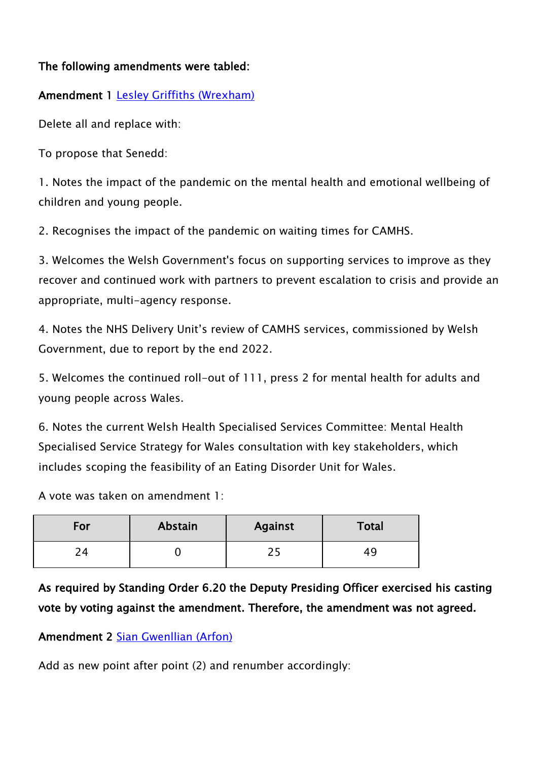#### The following amendments were tabled:

## Amendment 1 [Lesley Griffiths \(Wrexham\)](https://senedd.wales/people/154)

Delete all and replace with:

To propose that Senedd:

1. Notes the impact of the pandemic on the mental health and emotional wellbeing of children and young people.

2. Recognises the impact of the pandemic on waiting times for CAMHS.

3. Welcomes the Welsh Government's focus on supporting services to improve as they recover and continued work with partners to prevent escalation to crisis and provide an appropriate, multi-agency response.

4. Notes the NHS Delivery Unit's review of CAMHS services, commissioned by Welsh Government, due to report by the end 2022.

5. Welcomes the continued roll-out of 111, press 2 for mental health for adults and young people across Wales.

6. Notes the current Welsh Health Specialised Services Committee: Mental Health Specialised Service Strategy for Wales consultation with key stakeholders, which includes scoping the feasibility of an Eating Disorder Unit for Wales.

A vote was taken on amendment 1:

| For | Abstain | <b>Against</b> | Total |
|-----|---------|----------------|-------|
|     |         |                |       |

As required by Standing Order 6.20 the Deputy Presiding Officer exercised his casting vote by voting against the amendment. Therefore, the amendment was not agreed.

Amendment 2 [Sian Gwenllian \(Arfon\)](https://senedd.wales/people/4981)

Add as new point after point (2) and renumber accordingly: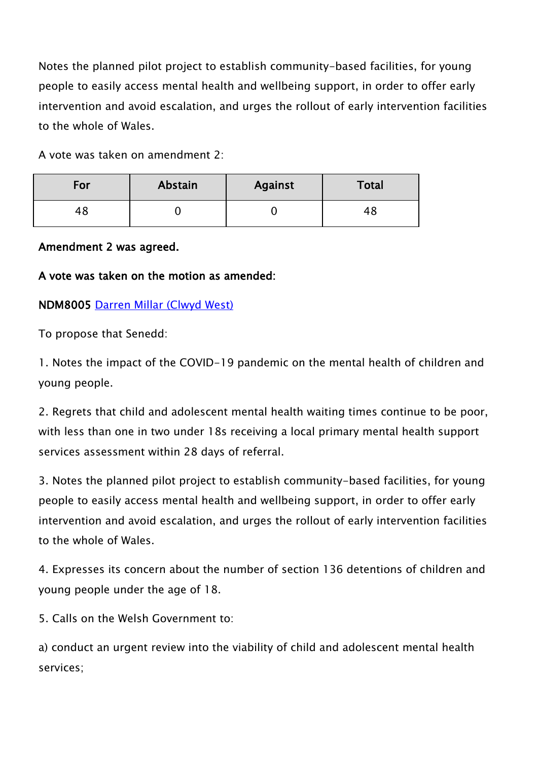Notes the planned pilot project to establish community-based facilities, for young people to easily access mental health and wellbeing support, in order to offer early intervention and avoid escalation, and urges the rollout of early intervention facilities to the whole of Wales.

A vote was taken on amendment 2:

| For            | Abstain | <b>Against</b> | <b>Total</b> |
|----------------|---------|----------------|--------------|
| 4 <sub>1</sub> |         |                | 48           |

#### Amendment 2 was agreed.

#### A vote was taken on the motion as amended:

#### NDM8005 [Darren Millar \(Clwyd West\)](https://senedd.wales/people/171)

To propose that Senedd:

1. Notes the impact of the COVID-19 pandemic on the mental health of children and young people.

2. Regrets that child and adolescent mental health waiting times continue to be poor, with less than one in two under 18s receiving a local primary mental health support services assessment within 28 days of referral.

3. Notes the planned pilot project to establish community-based facilities, for young people to easily access mental health and wellbeing support, in order to offer early intervention and avoid escalation, and urges the rollout of early intervention facilities to the whole of Wales.

4. Expresses its concern about the number of section 136 detentions of children and young people under the age of 18.

5. Calls on the Welsh Government to:

a) conduct an urgent review into the viability of child and adolescent mental health services;